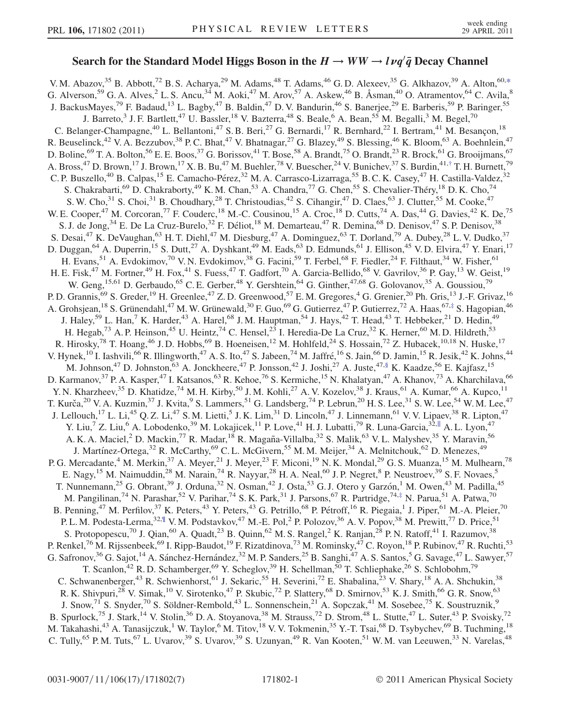## Search for the Standard Model Higgs Boson in the  $H \to WW \to l \nu q' \bar{q}$  Decay Channel

<span id="page-0-2"></span><span id="page-0-1"></span><span id="page-0-0"></span>V. M. Abazov,<sup>35</sup> B. Abbott,<sup>72</sup> B. S. Acharya,<sup>29</sup> M. Adams,<sup>48</sup> T. Adams,<sup>46</sup> G. D. Alexeev,<sup>35</sup> G. Alkhazov,<sup>39</sup> A. Alton,<sup>60,[\\*](#page-5-0)</sup> G. Alverson,<sup>59</sup> G. A. Alves,<sup>2</sup> L. S. Ancu,<sup>34</sup> M. Aoki,<sup>47</sup> M. Arov,<sup>57</sup> A. Askew,<sup>46</sup> B. Åsman,<sup>40</sup> O. Atramentov,<sup>64</sup> C. Avila,<sup>8</sup> J. BackusMayes,<sup>79</sup> F. Badaud,<sup>13</sup> L. Bagby,<sup>47</sup> B. Baldin,<sup>47</sup> D. V. Bandurin,<sup>46</sup> S. Banerjee,<sup>29</sup> E. Barberis,<sup>59</sup> P. Baringer,<sup>55</sup> J. Barreto,<sup>3</sup> J. F. Bartlett,<sup>47</sup> U. Bassler,<sup>18</sup> V. Bazterra,<sup>48</sup> S. Beale,<sup>6</sup> A. Bean,<sup>55</sup> M. Begalli,<sup>3</sup> M. Begel,<sup>70</sup> C. Belanger-Champagne,<sup>40</sup> L. Bellantoni,<sup>47</sup> S. B. Beri,<sup>27</sup> G. Bernardi,<sup>17</sup> R. Bernhard,<sup>22</sup> I. Bertram,<sup>41</sup> M. Besançon,<sup>18</sup> R. Beuselinck,<sup>42</sup> V. A. Bezzubov,<sup>38</sup> P. C. Bhat,<sup>47</sup> V. Bhatnagar,<sup>27</sup> G. Blazey,<sup>49</sup> S. Blessing,<sup>46</sup> K. Bloom,<sup>63</sup> A. Boehnlein,<sup>47</sup> D. Boline,  $^{69}$  T. A. Bolton,  $^{56}$  E. E. Boos,  $^{37}$  G. Borissov,  $^{41}$  T. Bose,  $^{58}$  A. Brandt,  $^{75}$  O. Brandt,  $^{23}$  R. Brock,  $^{61}$  G. Brooijmans,  $^{67}$ A. Bross,<sup>47</sup> D. Brown,<sup>17</sup> J. Brown,<sup>17</sup> X. B. Bu,<sup>47</sup> M. Buehler,<sup>78</sup> V. Buescher,<sup>24</sup> V. Bunichev,<sup>37</sup> S. Burdin,<sup>41,[†](#page-5-1)</sup> T. H. Burnett,<sup>79</sup> C. P. Buszello,<sup>40</sup> B. Calpas,<sup>15</sup> E. Camacho-Pérez,<sup>32</sup> M. A. Carrasco-Lizarraga,<sup>55</sup> B. C. K. Casey,<sup>47</sup> H. Castilla-Valdez,<sup>32</sup> S. Chakrabarti,<sup>69</sup> D. Chakraborty,<sup>49</sup> K. M. Chan,<sup>53</sup> A. Chandra,<sup>77</sup> G. Chen,<sup>55</sup> S. Chevalier-Théry,<sup>18</sup> D. K. Cho,<sup>74</sup> S. W. Cho,<sup>31</sup> S. Choi,<sup>31</sup> B. Choudhary,<sup>28</sup> T. Christoudias,<sup>42</sup> S. Cihangir,<sup>47</sup> D. Claes,<sup>63</sup> J. Clutter,<sup>55</sup> M. Cooke,<sup>47</sup> W. E. Cooper,<sup>47</sup> M. Corcoran,<sup>77</sup> F. Couderc,<sup>18</sup> M.-C. Cousinou,<sup>15</sup> A. Croc,<sup>18</sup> D. Cutts,<sup>74</sup> A. Das,<sup>44</sup> G. Davies,<sup>42</sup> K. De,<sup>75</sup> S. J. de Jong,<sup>34</sup> E. De La Cruz-Burelo,<sup>32</sup> F. Déliot,<sup>18</sup> M. Demarteau,<sup>47</sup> R. Demina,<sup>68</sup> D. Denisov,<sup>47</sup> S. P. Denisov,<sup>38</sup> S. Desai,<sup>47</sup> K. DeVaughan,<sup>63</sup> H. T. Diehl,<sup>47</sup> M. Diesburg,<sup>47</sup> A. Dominguez,<sup>63</sup> T. Dorland,<sup>79</sup> A. Dubey,<sup>28</sup> L. V. Dudko,<sup>37</sup> D. Duggan, <sup>64</sup> A. Duperrin, <sup>15</sup> S. Dutt, <sup>27</sup> A. Dyshkant, <sup>49</sup> M. Eads, <sup>63</sup> D. Edmunds, <sup>61</sup> J. Ellison, <sup>45</sup> V. D. Elvira, <sup>47</sup> Y. Enari, <sup>17</sup> H. Evans,<sup>51</sup> A. Evdokimov,<sup>70</sup> V.N. Evdokimov,<sup>38</sup> G. Facini,<sup>59</sup> T. Ferbel,<sup>68</sup> F. Fiedler,<sup>24</sup> F. Filthaut,<sup>34</sup> W. Fisher,<sup>61</sup> H. E. Fisk,<sup>47</sup> M. Fortner,<sup>49</sup> H. Fox,<sup>41</sup> S. Fuess,<sup>47</sup> T. Gadfort,<sup>70</sup> A. Garcia-Bellido,<sup>68</sup> V. Gavrilov,<sup>36</sup> P. Gay,<sup>13</sup> W. Geist,<sup>19</sup> W. Geng,  $^{15,61}$  D. Gerbaudo,  $^{65}$  C. E. Gerber,  $^{48}$  Y. Gershtein,  $^{64}$  G. Ginther,  $^{47,68}$  G. Golovanov,  $^{35}$  A. Goussiou,  $^{79}$ P. D. Grannis,<sup>69</sup> S. Greder,<sup>19</sup> H. Greenlee,<sup>47</sup> Z. D. Greenwood,<sup>57</sup> E. M. Gregores,<sup>4</sup> G. Grenier,<sup>20</sup> Ph. Gris,<sup>13</sup> J.-F. Grivaz,<sup>16</sup> A. Grohsjean, <sup>18</sup> S. Grünendahl, <sup>47</sup> M. W. Grünewald, <sup>30</sup> F. Guo, <sup>69</sup> G. Gutierrez, <sup>47</sup> P. Gutierrez, <sup>72</sup> A. Haas, <sup>67[,‡](#page-5-2)</sup> S. Hagopian, <sup>46</sup> J. Haley,<sup>59</sup> L. Han,<sup>7</sup> K. Harder,<sup>43</sup> A. Harel,<sup>68</sup> J. M. Hauptman,<sup>54</sup> J. Hays,<sup>42</sup> T. Head,<sup>43</sup> T. Hebbeker,<sup>21</sup> D. Hedin,<sup>49</sup> H. Hegab,<sup>73</sup> A. P. Heinson,<sup>45</sup> U. Heintz,<sup>74</sup> C. Hensel,<sup>23</sup> I. Heredia-De La Cruz,<sup>32</sup> K. Herner,<sup>60</sup> M. D. Hildreth,<sup>53</sup> R. Hirosky,<sup>78</sup> T. Hoang,<sup>46</sup> J. D. Hobbs,<sup>69</sup> B. Hoeneisen,<sup>12</sup> M. Hohlfeld,<sup>24</sup> S. Hossain,<sup>72</sup> Z. Hubacek,<sup>10,18</sup> N. Huske,<sup>17</sup> V. Hynek, <sup>10</sup> I. Iashvili, <sup>66</sup> R. Illingworth, <sup>47</sup> A. S. Ito, <sup>47</sup> S. Jabeen, <sup>74</sup> M. Jaffré, <sup>16</sup> S. Jain, <sup>66</sup> D. Jamin, <sup>15</sup> R. Jesik, <sup>42</sup> K. Johns, <sup>44</sup> M. Johnson,<sup>47</sup> D. Johnston,<sup>63</sup> A. Jonckheere,<sup>47</sup> P. Jonsson,<sup>42</sup> J. Joshi,<sup>27</sup> A. Juste,<sup>47,§</sup> K. Kaadze,<sup>56</sup> E. Kajfasz,<sup>15</sup> D. Karmanov,<sup>37</sup> P. A. Kasper,<sup>47</sup> I. Katsanos,<sup>63</sup> R. Kehoe,<sup>76</sup> S. Kermiche,<sup>15</sup> N. Khalatyan,<sup>47</sup> A. Khanov,<sup>73</sup> A. Kharchilava,<sup>66</sup> Y. N. Kharzheev,<sup>35</sup> D. Khatidze,<sup>74</sup> M. H. Kirby,<sup>50</sup> J. M. Kohli,<sup>27</sup> A. V. Kozelov,<sup>38</sup> J. Kraus,<sup>61</sup> A. Kumar,<sup>66</sup> A. Kupco,<sup>11</sup> T. Kurča,<sup>20</sup> V. A. Kuzmin,<sup>37</sup> J. Kvita,<sup>9</sup> S. Lammers,<sup>51</sup> G. Landsberg,<sup>74</sup> P. Lebrun,<sup>20</sup> H. S. Lee,<sup>31</sup> S. W. Lee,<sup>54</sup> W. M. Lee,<sup>47</sup> J. Lellouch,<sup>17</sup> L. Li,<sup>45</sup> Q. Z. Li,<sup>47</sup> S. M. Lietti,<sup>5</sup> J. K. Lim,<sup>31</sup> D. Lincoln,<sup>47</sup> J. Linnemann,<sup>61</sup> V. V. Lipaev,<sup>38</sup> R. Lipton,<sup>47</sup> Y. Liu,<sup>7</sup> Z. Liu,<sup>6</sup> A. Lobodenko,<sup>39</sup> M. Lokajicek,<sup>11</sup> P. Love,<sup>41</sup> H. J. Lubatti,<sup>79</sup> R. Luna-Garcia,<sup>32,||</sup> A. L. Lyon,<sup>47</sup> A. K. A. Maciel,<sup>2</sup> D. Mackin,<sup>77</sup> R. Madar,<sup>18</sup> R. Magaña-Villalba,<sup>32</sup> S. Malik,<sup>63</sup> V. L. Malyshev,<sup>35</sup> Y. Maravin,<sup>56</sup> J. Martínez-Ortega,<sup>32</sup> R. McCarthy,<sup>69</sup> C.L. McGivern,<sup>55</sup> M.M. Meijer,<sup>34</sup> A. Melnitchouk,<sup>62</sup> D. Menezes,<sup>49</sup> P. G. Mercadante,<sup>4</sup> M. Merkin,<sup>37</sup> A. Meyer,<sup>21</sup> J. Meyer,<sup>23</sup> F. Miconi,<sup>19</sup> N. K. Mondal,<sup>29</sup> G. S. Muanza,<sup>15</sup> M. Mulhearn,<sup>78</sup> E. Nagy,<sup>15</sup> M. Naimuddin,<sup>28</sup> M. Narain,<sup>74</sup> R. Nayyar,<sup>28</sup> H. A. Neal,<sup>60</sup> J. P. Negret,<sup>8</sup> P. Neustroev,<sup>39</sup> S. F. Novaes,<sup>5</sup> T. Nunnemann,<sup>25</sup> G. Obrant,<sup>39</sup> J. Orduna,<sup>32</sup> N. Osman,<sup>42</sup> J. Osta,<sup>53</sup> G. J. Otero y Garzón,<sup>1</sup> M. Owen,<sup>43</sup> M. Padilla,<sup>45</sup> M. Pangilinan,<sup>74</sup> N. Parashar,<sup>52</sup> V. Parihar,<sup>74</sup> S. K. Park,<sup>31</sup> J. Parsons,<sup>67</sup> R. Partridge,<sup>74[,‡](#page-5-2)</sup> N. Parua,<sup>51</sup> A. Patwa,<sup>70</sup> B. Penning,<sup>47</sup> M. Perfilov,<sup>37</sup> K. Peters,<sup>43</sup> Y. Peters,<sup>43</sup> G. Petrillo,<sup>68</sup> P. Pétroff,<sup>16</sup> R. Piegaia,<sup>1</sup> J. Piper,<sup>61</sup> M.-A. Pleier,<sup>70</sup> P. L. M. Podesta-Lerma,<sup>32,¶</sup> V. M. Podstavkov,<sup>47</sup> M.-E. Pol,<sup>2</sup> P. Polozov,<sup>36</sup> A. V. Popov,<sup>38</sup> M. Prewitt,<sup>77</sup> D. Price,<sup>51</sup> S. Protopopescu,<sup>70</sup> J. Qian,<sup>60</sup> A. Quadt,<sup>23</sup> B. Quinn,<sup>62</sup> M. S. Rangel,<sup>2</sup> K. Ranjan,<sup>28</sup> P. N. Ratoff,<sup>41</sup> I. Razumov,<sup>38</sup> P. Renkel,<sup>76</sup> M. Rijssenbeek,<sup>69</sup> I. Ripp-Baudot,<sup>19</sup> F. Rizatdinova,<sup>73</sup> M. Rominsky,<sup>47</sup> C. Royon,<sup>18</sup> P. Rubinov,<sup>47</sup> R. Ruchti,<sup>53</sup> G. Safronov,<sup>36</sup> G. Sajot,<sup>14</sup> A. Sánchez-Hernández,<sup>32</sup> M. P. Sanders,<sup>25</sup> B. Sanghi,<sup>47</sup> A. S. Santos,<sup>5</sup> G. Savage,<sup>47</sup> L. Sawyer,<sup>57</sup> T. Scanlon,<sup>42</sup> R. D. Schamberger,<sup>69</sup> Y. Scheglov,<sup>39</sup> H. Schellman,<sup>50</sup> T. Schliephake,<sup>26</sup> S. Schlobohm,<sup>79</sup> C. Schwanenberger,<sup>43</sup> R. Schwienhorst,<sup>61</sup> J. Sekaric,<sup>55</sup> H. Severini,<sup>72</sup> E. Shabalina,<sup>23</sup> V. Shary,<sup>18</sup> A. A. Shchukin,<sup>38</sup> R. K. Shivpuri,<sup>28</sup> V. Simak,<sup>10</sup> V. Sirotenko,<sup>47</sup> P. Skubic,<sup>72</sup> P. Slattery,<sup>68</sup> D. Smirnov,<sup>53</sup> K. J. Smith,<sup>66</sup> G. R. Snow,<sup>63</sup> J. Snow,<sup>71</sup> S. Snyder,<sup>70</sup> S. Söldner-Rembold,<sup>43</sup> L. Sonnenschein,<sup>21</sup> A. Sopczak,<sup>41</sup> M. Sosebee,<sup>75</sup> K. Soustruznik,<sup>9</sup> B. Spurlock,<sup>75</sup> J. Stark,<sup>14</sup> V. Stolin,<sup>36</sup> D. A. Stoyanova,<sup>38</sup> M. Strauss,<sup>72</sup> D. Strom,<sup>48</sup> L. Stutte,<sup>47</sup> L. Suter,<sup>43</sup> P. Svoisky,<sup>72</sup> M. Takahashi,<sup>43</sup> A. Tanasijczuk,<sup>1</sup> W. Taylor,<sup>6</sup> M. Titov,<sup>18</sup> V. V. Tokmenin,<sup>35</sup> Y.-T. Tsai,<sup>68</sup> D. Tsybychev,<sup>69</sup> B. Tuchming,<sup>18</sup> C. Tully, <sup>65</sup> P. M. Tuts, <sup>67</sup> L. Uvarov, <sup>39</sup> S. Uvarov, <sup>39</sup> S. Uzunyan, <sup>49</sup> R. Van Kooten, <sup>51</sup> W. M. van Leeuwen, <sup>33</sup> N. Varelas, <sup>48</sup>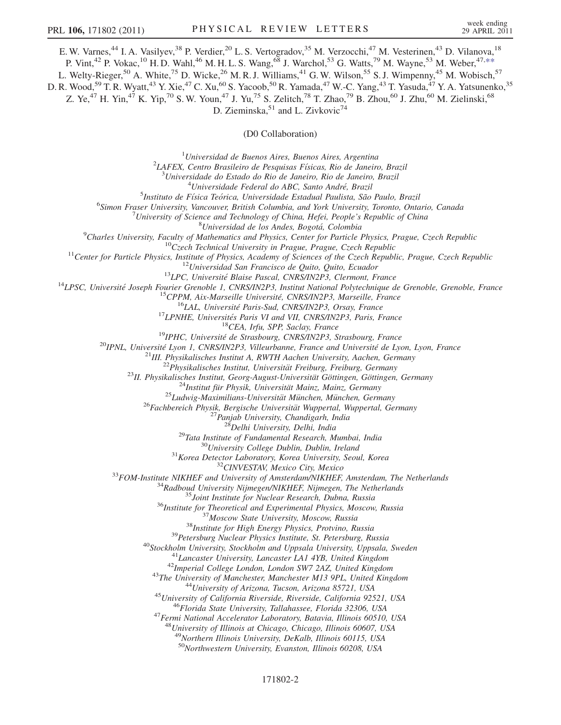<span id="page-1-0"></span>E. W. Varnes,<sup>44</sup> I. A. Vasilyev,<sup>38</sup> P. Verdier,<sup>20</sup> L. S. Vertogradov,<sup>35</sup> M. Verzocchi,<sup>47</sup> M. Vesterinen,<sup>43</sup> D. Vilanova,<sup>18</sup>

P. Vint,<sup>42</sup> P. Vokac,<sup>10</sup> H. D. Wahl,<sup>46</sup> M. H. L. S. Wang,<sup>68</sup> J. Warchol,<sup>53</sup> G. Watts,<sup>79</sup> M. Wayne,<sup>53</sup> M. Weber,<sup>47,\*\*</sup>

L. Welty-Rieger,<sup>50</sup> A. White,<sup>75</sup> D. Wicke,<sup>26</sup> M. R. J. Williams,<sup>41</sup> G. W. Wilson,<sup>55</sup> S. J. Wimpenny,<sup>45</sup> M. Wobisch,<sup>57</sup>

D. R. Wood,<sup>59</sup> T. R. Wyatt,<sup>43</sup> Y. Xie,<sup>47</sup> C. Xu,<sup>60</sup> S. Yacoob,<sup>50</sup> R. Yamada,<sup>47</sup> W.-C. Yang,<sup>43</sup> T. Yasuda,<sup>47</sup> Y. A. Yatsunenko,<sup>35</sup>

Z. Ye,<sup>47</sup> H. Yin,<sup>47</sup> K. Yip,<sup>70</sup> S. W. Youn,<sup>47</sup> J. Yu,<sup>75</sup> S. Zelitch,<sup>78</sup> T. Zhao,<sup>79</sup> B. Zhou,<sup>60</sup> J. Zhu,<sup>60</sup> M. Zielinski,<sup>68</sup>

D. Zieminska,<sup>51</sup> and L. Zivkovic<sup>74</sup>

## (D0 Collaboration)

<sup>1</sup>Universidad de Buenos Aires, Buenos Aires, Argentina<sup>2</sup><br><sup>2</sup>LAEEV, Centro Brasileiro de Pesquisas Eísicas, Pio de Janeiro

 $^{2}$ LAFEX, Centro Brasileiro de Pesquisas Físicas, Rio de Janeiro, Brazil

 $3$ Universidade do Estado do Rio de Janeiro, Rio de Janeiro, Brazil

 $^{4}$ Universidade Federal do ABC, Santo André, Brazil

<sup>5</sup>Instituto de Física Teórica, Universidade Estadual Paulista, São Paulo, Brazil

<sup>6</sup>Simon Fraser University, Vancouver, British Columbia, and York University, Toronto, Ontario, Canada

University of Science and Technology of China, Hefei, People's Republic of China<br><sup>8</sup>Universidad de los Andes, Bogotá, Colombia

 $^9$ Charles University, Faculty of Mathematics and Physics, Center for Particle Physics, Prague, Czech Republic

<sup>2</sup>Charles University, Faculty of Mallemanics and Physics, Center (by Paris 10: The Cechi Republic Center For Scrib Republic Center for Paris 1. The Cechi Republic Center of the Center of the Cechi Republic Center of the

<sup>47</sup> Fermi National Accelerator Laboratory, Batavia, Illinois 60510, USA<br><sup>48</sup> University of Illinois at Chicago, Chicago, Illinois 60607, USA

<sup>49</sup>Northern Illinois University, DeKalb, Illinois 60115, USA

<sup>50</sup>Northwestern University, Evanston, Illinois 60208, USA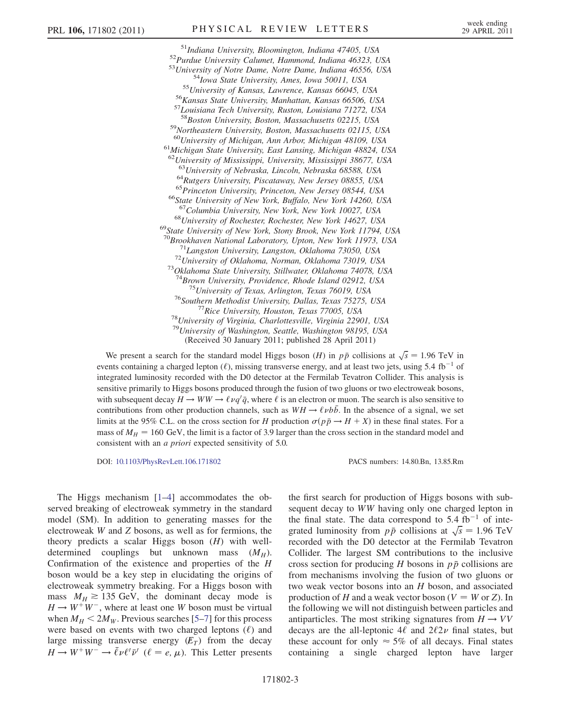<sup>51</sup>Indiana University, Bloomington, Indiana 47405, USA<br><sup>52</sup>Purdue University Calumet, Hammond, Indiana 46323, USA<br><sup>53</sup>University of Notre Dame, Notre Dame, Indiana 46556, USA<br><sup>54</sup>Iowa State University, Ames, Iowa 50011, 59Northeastern University, Boston, Massachusetts 02115, USA  $^{60}$ University of Michigan, Ann Arbor, Michigan 48109, USA<br> $^{61}$ Michigan State University, East Lansing, Michigan 48824, USA <sup>62</sup>University of Mississippi, University, Mississippi 38677, USA <sup>63</sup>University of Nebraska, Lincoln, Nebraska 68588, USA<br><sup>64</sup>Rutgers University, Piscataway, New Jersey 08855, USA<br><sup>65</sup>Princeton University, Princeton, New Jersey 08544, USA<br><sup>66</sup>State University of New York, Buffalo, New <sup>68</sup>University of Rochester, Rochester, New York 14627, USA<br><sup>69</sup>State University of New York, Stony Brook, New York 11794, USA<br><sup>70</sup>Brookhaven National Laboratory, Upton, New York 11973, USA <sup>71</sup> Langston University, Langston, Oklahoma 73050, USA<br><sup>72</sup> University of Oklahoma, Norman, Oklahoma 73019, USA<br><sup>73</sup> Oklahoma State University, Stillwater, Oklahoma 74078, USA <sup>74</sup>Brown University, Providence, Rhode Island 02912, USA<br><sup>75</sup>University of Texas, Arlington, Texas 76019, USA<br><sup>76</sup>Southern Methodist University, Dallas, Texas 75275, USA<br><sup>77</sup>Rice University, Houston, Texas 77005, USA<br><sup>78</sup>  $^{79}$ University of Washington, Seattle, Washington 98195, USA (Received 30 January 2011; published 28 April 2011)

We present a search for the standard model Higgs boson (H) in  $p\bar{p}$  collisions at  $\sqrt{s} = 1.96$  TeV in<br>ents containing a charged lenton (C) missing transverse energy and at least two jets using 5.4 th<sup>-1</sup> of events containing a charged lepton ( $\ell$ ), missing transverse energy, and at least two jets, using 5.4 fb<sup>-1</sup> of integrated luminosity recorded with the D0 detector at the Fermilab Tevatron Collider. This analysis is sensitive primarily to Higgs bosons produced through the fusion of two gluons or two electroweak bosons, with subsequent decay  $H \to WW \to \ell \nu q' \bar{q}$ , where  $\ell$  is an electron or muon. The search is also sensitive to contributions from other production obtained with subsequently the short of a signal we set contributions from other production channels, such as  $WH \rightarrow \ell \nu b\bar{b}$ . In the absence of a signal, we set limits at the 95% C.L. on the cross section for H production  $\sigma(p\bar{p} \rightarrow H + X)$  in these final states. For a mass of  $M_{\odot} = 160$  GeV, the limit is a factor of 3.9 larger than the cross section in the standard model and mass of  $M_H = 160 \text{ GeV}$ , the limit is a factor of 3.9 larger than the cross section in the standard model and consistent with an *a priori* expected sensitivity of 5.0.

DOI: [10.1103/PhysRevLett.106.171802](http://dx.doi.org/10.1103/PhysRevLett.106.171802) PACS numbers: 14.80.Bn, 13.85.Rm

The Higgs mechanism [[1](#page-6-0)[–4](#page-6-1)] accommodates the observed breaking of electroweak symmetry in the standard model (SM). In addition to generating masses for the electroweak W and Z bosons, as well as for fermions, the theory predicts a scalar Higgs boson  $(H)$  with welldetermined couplings but unknown mass  $(M_H)$ . Confirmation of the existence and properties of the H boson would be a key step in elucidating the origins of electroweak symmetry breaking. For a Higgs boson with mass  $M_H \approx 135$  GeV, the dominant decay mode is  $H \rightarrow W^{+}W^{-}$ , where at least one W boson must be virtual when  $M_H < 2M_W$ . Previous searches [\[5–](#page-6-2)[7](#page-6-3)] for this process were based on events with two charged leptons  $(\ell)$  and large missing transverse energy  $(E_T)$  from the decay  $H \to W^+ W^- \to \bar{\ell} \nu \ell^{\prime} \bar{\nu}^{\prime}$  ( $\ell = e, \mu$ ). This Letter presents the first search for production of Higgs bosons with subsequent decay to WW having only one charged lepton in the final state. The data correspond to  $5.4 \text{ fb}^{-1}$  of intethe final state. The data correspond to 5.4 fb<sup>-1</sup> of integrated luminosity from  $p\bar{p}$  collisions at  $\sqrt{s} = 1.96$  TeV recorded with the D0 detector at the Fermilah Tevatron s recorded with the D0 detector at the Fermilab Tevatron Collider. The largest SM contributions to the inclusive cross section for producing H bosons in  $p\bar{p}$  collisions are from mechanisms involving the fusion of two gluons or two weak vector bosons into an H boson, and associated production of H and a weak vector boson ( $V = W$  or Z). In the following we will not distinguish between particles and antiparticles. The most striking signatures from  $H \rightarrow VV$ decays are the all-leptonic  $4\ell$  and  $2\ell 2\nu$  final states, but these account for only  $\approx$  5% of all decays. Final states containing a single charged lepton have larger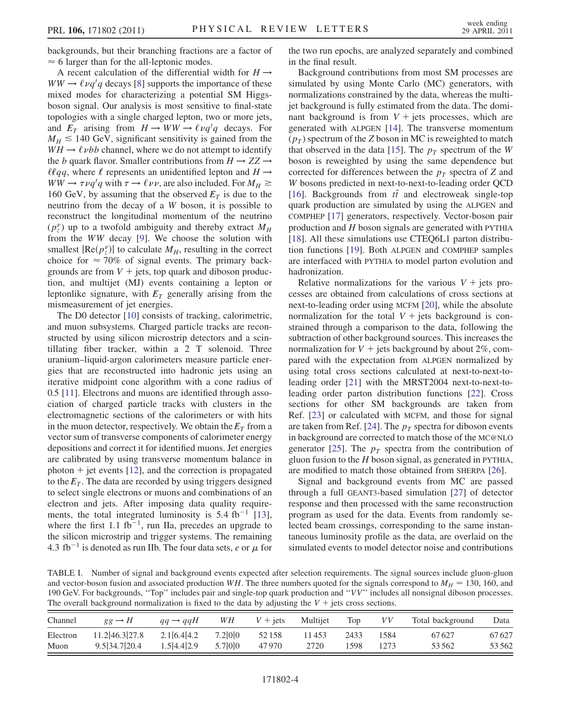backgrounds, but their branching fractions are a factor of  $\approx$  6 larger than for the all-leptonic modes.

A recent calculation of the differential width for  $H \rightarrow$  $WW \rightarrow \ell \nu q'q$  decays [\[8\]](#page-6-4) supports the importance of these mixed modes for characterizing a potential SM Higgsmixed modes for characterizing a potential SM Higgsboson signal. Our analysis is most sensitive to final-state topologies with a single charged lepton, two or more jets, and  $E_T$  arising from  $H \to WW \to \ell \nu q'q$  decays. For  $M_{\nu} \leq 140$  GeV significant sensitivity is gained from the  $M_H \le 140$  GeV, significant sensitivity is gained from the  $WH \rightarrow \ell \nu bb$  channel, where we do not attempt to identify the b quark flavor. Smaller contributions from  $H \rightarrow ZZ \rightarrow$  $\ell \ell qq$ , where  $\ell$  represents an unidentified lepton and  $H \rightarrow$  $WW \rightarrow \tau \nu q'q$  with  $\tau \rightarrow \ell \nu \nu$ , are also included. For  $M_H \ge$ <br>160 GeV by assuming that the observed  $F_{\tau}$  is due to the 160 GeV, by assuming that the observed  $E_T$  is due to the neutrino from the decay of a W boson, it is possible to reconstruct the longitudinal momentum of the neutrino  $(p_z^{\nu})$  up to a twofold ambiguity and thereby extract  $M_H$ <br>from the WW decay [9]. We choose the solution with from the WW decay [\[9\]](#page-6-5). We choose the solution with smallest  $|Re(p_z^v)|$  to calculate  $M_H$ , resulting in the correct choice for  $\approx 70\%$  of signal events. The primary backchoice for  $\approx 70\%$  of signal events. The primary backgrounds are from  $V +$  jets, top quark and diboson production, and multijet (MJ) events containing a lepton or leptonlike signature, with  $E_T$  generally arising from the mismeasurement of jet energies.

The D0 detector [\[10\]](#page-6-6) consists of tracking, calorimetric, and muon subsystems. Charged particle tracks are reconstructed by using silicon microstrip detectors and a scintillating fiber tracker, within a 2 T solenoid. Three uranium–liquid-argon calorimeters measure particle energies that are reconstructed into hadronic jets using an iterative midpoint cone algorithm with a cone radius of 0.5 [[11](#page-6-7)]. Electrons and muons are identified through association of charged particle tracks with clusters in the electromagnetic sections of the calorimeters or with hits in the muon detector, respectively. We obtain the  $E_T$  from a vector sum of transverse components of calorimeter energy depositions and correct it for identified muons. Jet energies are calibrated by using transverse momentum balance in photon  $+$  jet events [\[12](#page-6-8)], and the correction is propagated to the  $E_T$ . The data are recorded by using triggers designed to select single electrons or muons and combinations of an electron and jets. After imposing data quality require-ments, the total integrated luminosity is 5.4 fb<sup>-1</sup> [\[13\]](#page-6-9), where the first 1.1 fb<sup>-1</sup>, run IIa, precedes an upgrade to the silicon microstrip and trigger systems. The remaining 4.3 fb<sup>-1</sup> is denoted as run IIb. The four data sets, e or  $\mu$  for the two run epochs, are analyzed separately and combined in the final result.

Background contributions from most SM processes are simulated by using Monte Carlo (MC) generators, with normalizations constrained by the data, whereas the multijet background is fully estimated from the data. The dominant background is from  $V +$  jets processes, which are generated with ALPGEN [[14](#page-6-10)]. The transverse momentum  $(p_T)$  spectrum of the Z boson in MC is reweighted to match that observed in the data [[15](#page-6-11)]. The  $p_T$  spectrum of the W boson is reweighted by using the same dependence but corrected for differences between the  $p_T$  spectra of Z and W bosons predicted in next-to-next-to-leading order QCD [\[16\]](#page-6-12). Backgrounds from  $t\bar{t}$  and electroweak single-top<br>quark production are simulated by using the ALPGEN and quark production are simulated by using the ALPGEN and COMPHEP [\[17\]](#page-6-13) generators, respectively. Vector-boson pair production and H boson signals are generated with PYTHIA [\[18\]](#page-6-14). All these simulations use CTEQ6L1 parton distribution functions [[19](#page-6-15)]. Both ALPGEN and COMPHEP samples are interfaced with PYTHIA to model parton evolution and hadronization.

Relative normalizations for the various  $V + j$  jets processes are obtained from calculations of cross sections at next-to-leading order using MCFM [[20](#page-6-16)], while the absolute normalization for the total  $V +$  jets background is constrained through a comparison to the data, following the subtraction of other background sources. This increases the normalization for  $V$  + jets background by about 2%, compared with the expectation from ALPGEN normalized by using total cross sections calculated at next-to-next-toleading order [[21](#page-6-17)] with the MRST2004 next-to-next-toleading order parton distribution functions [\[22](#page-6-18)]. Cross sections for other SM backgrounds are taken from Ref. [\[23\]](#page-6-19) or calculated with MCFM, and those for signal are taken from Ref. [[24](#page-6-20)]. The  $p_T$  spectra for diboson events in background are corrected to match those of the MC@NLO generator [\[25\]](#page-6-21). The  $p<sub>T</sub>$  spectra from the contribution of gluon fusion to the  $H$  boson signal, as generated in PYTHIA, are modified to match those obtained from SHERPA [[26\]](#page-6-22).

Signal and background events from MC are passed through a full GEANT3-based simulation [\[27\]](#page-6-23) of detector response and then processed with the same reconstruction program as used for the data. Events from randomly selected beam crossings, corresponding to the same instantaneous luminosity profile as the data, are overlaid on the simulated events to model detector noise and contributions

<span id="page-3-0"></span>TABLE I. Number of signal and background events expected after selection requirements. The signal sources include gluon-gluon and vector-boson fusion and associated production WH. The three numbers quoted for the signals correspond to  $M_H = 130$ , 160, and 190 GeV. For backgrounds, ''Top'' includes pair and single-top quark production and ''VV'' includes all nonsignal diboson processes. The overall background normalization is fixed to the data by adjusting the  $V +$  jets cross sections.

| Channel  | $gg \rightarrow H$ | $qa \rightarrow qqH$ | WH      | $V +$ iets | Multijet | Top  | VV   | Total background | Data  |  |
|----------|--------------------|----------------------|---------|------------|----------|------|------|------------------|-------|--|
| Electron | 11.2 46.3 27.8     | 2.1 6.4 4.2          | 7.2 0 0 | 52158      | 11453    | 2433 | 1584 | 67627            | 67627 |  |
| Muon     | 9.5 34.7 20.4      | 1.5 4.4 2.9          | 5.7 0 0 | 47970      | 2720     | 1598 | 1273 | 53 562           | 53562 |  |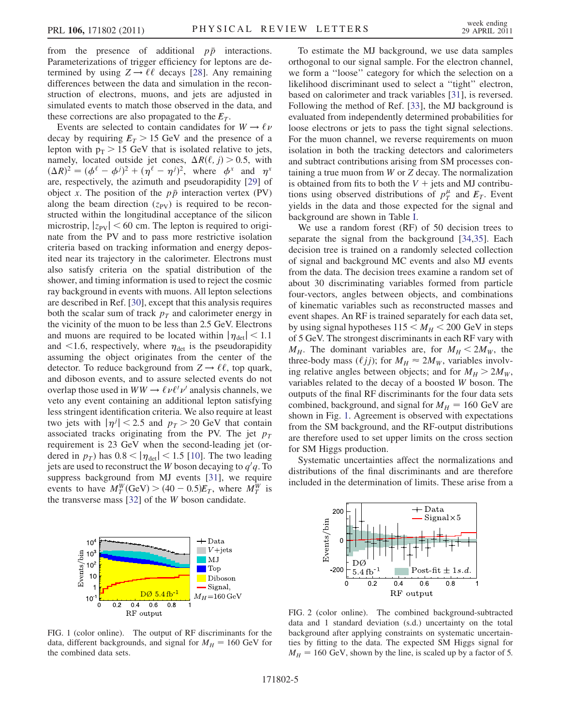from the presence of additional  $p\bar{p}$  interactions. Parameterizations of trigger efficiency for leptons are determined by using  $Z \rightarrow \ell \ell$  decays [[28](#page-6-24)]. Any remaining differences between the data and simulation in the reconstruction of electrons, muons, and jets are adjusted in simulated events to match those observed in the data, and these corrections are also propagated to the  $E_T$ .

Events are selected to contain candidates for  $W \to \ell \nu$ decay by requiring  $E_T > 15$  GeV and the presence of a lepton with  $p_T > 15$  GeV that is isolated relative to jets, namely, located outside jet cones,  $\Delta R(\ell, j) > 0.5$ , with  $(\Delta R)^2 = (d^{\ell} - d^j)^2 + (n^{\ell} - n^j)^2$  where  $d^x$  and  $n^x$  $(\Delta R)^2 = (\phi^{\ell} - \phi^j)^2 + (\eta^{\ell} - \eta^j)^2$ , where  $\phi^x$  and  $\eta^x$ <br>are respectively the azimuth and pseudorapidity [29] of  $(\Delta K)^2 = (\phi^{\circ} - \phi^j)^2 + (\eta^{\circ} - \eta^j)^2$ , where  $\phi^*$  and  $\eta^*$ <br>are, respectively, the azimuth and pseudorapidity [[29\]](#page-6-25) of object x. The position of the  $p\bar{p}$  interaction vertex (PV) along the beam direction  $(z_{PV})$  is required to be reconstructed within the longitudinal acceptance of the silicon microstrip,  $|z_{PV}| < 60$  cm. The lepton is required to originate from the PV and to pass more restrictive isolation criteria based on tracking information and energy deposited near its trajectory in the calorimeter. Electrons must also satisfy criteria on the spatial distribution of the shower, and timing information is used to reject the cosmic ray background in events with muons. All lepton selections are described in Ref. [\[30\]](#page-6-26), except that this analysis requires both the scalar sum of track  $p_T$  and calorimeter energy in the vicinity of the muon to be less than 2.5 GeV. Electrons and muons are required to be located within  $|\eta_{\text{det}}|$  < 1.1 and  $\leq$ 1.6, respectively, where  $\eta_{\text{det}}$  is the pseudorapidity assuming the object originates from the center of the detector. To reduce background from  $Z \rightarrow \ell \ell$ , top quark, and diboson events, and to assure selected events do not overlap those used in  $WW \rightarrow \ell \nu \ell' \nu'$  analysis channels, we<br>veto any event containing an additional lenton satisfying veto any event containing an additional lepton satisfying less stringent identification criteria. We also require at least two jets with  $|\eta^j| < 2.5$  and  $p_T > 20$  GeV that contain<br>associated tracks originating from the PV. The jet  $p_T$ associated tracks originating from the PV. The jet  $p_T$ requirement is 23 GeV when the second-leading jet (ordered in  $p<sub>T</sub>$ ) has  $0.8 < |\eta_{\text{det}}| < 1.5$  [[10](#page-6-6)]. The two leading jets are used to reconstruct the *W* boson decaying to  $q'q$ . To suppress hackground from MI events [31], we require suppress background from MJ events [[31](#page-6-27)], we require events to have  $M_Y^W(\text{GeV}) > (40 - 0.5)E_T$ , where  $M_Y^W$  is the transverse mass [32] of the W boson candidate the transverse mass [[32](#page-6-28)] of the W boson candidate.



We use a random forest (RF) of 50 decision trees to separate the signal from the background [\[34](#page-6-30)[,35\]](#page-6-31). Each decision tree is trained on a randomly selected collection of signal and background MC events and also MJ events from the data. The decision trees examine a random set of about 30 discriminating variables formed from particle four-vectors, angles between objects, and combinations of kinematic variables such as reconstructed masses and event shapes. An RF is trained separately for each data set, by using signal hypotheses  $115 < M_H < 200$  GeV in steps of 5 GeV. The strongest discriminants in each RF vary with  $M_H$ . The dominant variables are, for  $M_H < 2M_W$ , the three-body mass ( $\ell jj$ ); for  $M_H \approx 2M_W$ , variables involv-<br>ing relative angles between objects: and for  $M_U > 2M_W$ ing relative angles between objects; and for  $M_H > 2M_W$ , variables related to the decay of a boosted W boson. The outputs of the final RF discriminants for the four data sets combined, background, and signal for  $M_H = 160$  GeV are shown in Fig. [1.](#page-4-0) Agreement is observed with expectations from the SM background, and the RF-output distributions are therefore used to set upper limits on the cross section for SM Higgs production.

Systematic uncertainties affect the normalizations and distributions of the final discriminants and are therefore included in the determination of limits. These arise from a

<span id="page-4-0"></span>

FIG. 1 (color online). The output of RF discriminants for the data, different backgrounds, and signal for  $M_H = 160$  GeV for the combined data sets.

<span id="page-4-1"></span>

FIG. 2 (color online). The combined background-subtracted data and 1 standard deviation (s.d.) uncertainty on the total background after applying constraints on systematic uncertainties by fitting to the data. The expected SM Higgs signal for  $M_H = 160$  GeV, shown by the line, is scaled up by a factor of 5.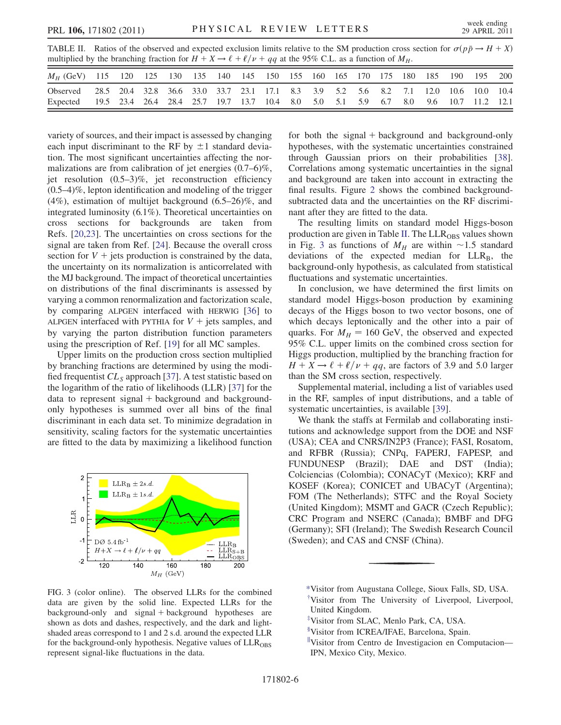<span id="page-5-3"></span>TABLE II. Ratios of the observed and expected exclusion limits relative to the SM production cross section for  $\sigma(p\bar{p} \rightarrow H + X)$ <br>multiplied by the branching fraction for  $H + X \rightarrow \ell + \ell/\nu + aa$  at the 95% CL as a function of  $M_{\$ multiplied by the branching fraction for  $H + X \rightarrow \ell + \ell/\nu + qq$  at the 95% C.L. as a function of  $M_H$ .

| <i>M<sub>H</sub></i> (GeV) 115 120 125 130 135 140 145 150 155 160 165 170 175 180 185 190                                                                                                  |  |  |  |  |  |  |  |  | 195 200 |  |
|---------------------------------------------------------------------------------------------------------------------------------------------------------------------------------------------|--|--|--|--|--|--|--|--|---------|--|
| Observed 28.5 20.4 32.8 36.6 33.0 33.7 23.1 17.1 8.3 3.9 5.2 5.6 8.2 7.1 12.0 10.6 10.0 10.4<br>Expected 19.5 23.4 26.4 28.4 25.7 19.7 13.7 10.4 8.0 5.0 5.1 5.9 6.7 8.0 9.6 10.7 11.2 12.1 |  |  |  |  |  |  |  |  |         |  |

variety of sources, and their impact is assessed by changing each input discriminant to the RF by  $\pm 1$  standard deviation. The most significant uncertainties affecting the normalizations are from calibration of jet energies (0.7–6)%, jet resolution (0.5–3)%, jet reconstruction efficiency  $(0.5-4)\%$ , lepton identification and modeling of the trigger (4%), estimation of multijet background (6.5–26)%, and integrated luminosity (6.1%). Theoretical uncertainties on cross sections for backgrounds are taken from Refs. [[20](#page-6-16),[23](#page-6-19)]. The uncertainties on cross sections for the signal are taken from Ref. [[24](#page-6-20)]. Because the overall cross section for  $V +$  jets production is constrained by the data, the uncertainty on its normalization is anticorrelated with the MJ background. The impact of theoretical uncertainties on distributions of the final discriminants is assessed by varying a common renormalization and factorization scale, by comparing ALPGEN interfaced with HERWIG [[36](#page-6-32)] to ALPGEN interfaced with PYTHIA for  $V +$  jets samples, and by varying the parton distribution function parameters using the prescription of Ref. [[19](#page-6-15)] for all MC samples.

Upper limits on the production cross section multiplied by branching fractions are determined by using the modified frequentist  $CL_S$  approach [\[37\]](#page-6-33). A test statistic based on the logarithm of the ratio of likelihoods (LLR) [[37](#page-6-33)] for the  $data$  to represent signal + background and backgroundonly hypotheses is summed over all bins of the final discriminant in each data set. To minimize degradation in sensitivity, scaling factors for the systematic uncertainties are fitted to the data by maximizing a likelihood function

<span id="page-5-4"></span>

FIG. 3 (color online). The observed LLRs for the combined data are given by the solid line. Expected LLRs for the background-only and signal + background hypotheses are shown as dots and dashes, respectively, and the dark and lightshaded areas correspond to 1 and 2 s.d. around the expected LLR for the background-only hypothesis. Negative values of  $LLR<sub>ORS</sub>$ represent signal-like fluctuations in the data.

for both the signal  $+$  background and background-only hypotheses, with the systematic uncertainties constrained through Gaussian priors on their probabilities [[38\]](#page-6-34). Correlations among systematic uncertainties in the signal and background are taken into account in extracting the final results. Figure [2](#page-4-1) shows the combined backgroundsubtracted data and the uncertainties on the RF discriminant after they are fitted to the data.

The resulting limits on standard model Higgs-boson production are given in Table [II.](#page-5-3) The  $LLR<sub>OBS</sub>$  values shown in Fig. [3](#page-5-4) as functions of  $M_H$  are within ~1.5 standard deviations of the expected median for  $LLR_B$ , the background-only hypothesis, as calculated from statistical fluctuations and systematic uncertainties.

In conclusion, we have determined the first limits on standard model Higgs-boson production by examining decays of the Higgs boson to two vector bosons, one of which decays leptonically and the other into a pair of quarks. For  $M_H = 160$  GeV, the observed and expected 95% C.L. upper limits on the combined cross section for Higgs production, multiplied by the branching fraction for  $H + X \rightarrow \ell + \ell/\nu + qq$ , are factors of 3.9 and 5.0 larger than the SM cross section, respectively.

Supplemental material, including a list of variables used in the RF, samples of input distributions, and a table of systematic uncertainties, is available [[39](#page-6-35)].

We thank the staffs at Fermilab and collaborating institutions and acknowledge support from the DOE and NSF (USA); CEA and CNRS/IN2P3 (France); FASI, Rosatom, and RFBR (Russia); CNPq, FAPERJ, FAPESP, and FUNDUNESP (Brazil); DAE and DST (India); Colciencias (Colombia); CONACyT (Mexico); KRF and KOSEF (Korea); CONICET and UBACyT (Argentina); FOM (The Netherlands); STFC and the Royal Society (United Kingdom); MSMT and GACR (Czech Republic); CRC Program and NSERC (Canada); BMBF and DFG (Germany); SFI (Ireland); The Swedish Research Council (Sweden); and CAS and CNSF (China).

<span id="page-5-1"></span><span id="page-5-0"></span>[<sup>\\*</sup>V](#page-0-0)isitor from Augustana College, Sioux Falls, SD, USA. [†](#page-0-1) Visitor from The University of Liverpool, Liverpool, United Kingdom.

<span id="page-5-2"></span>[<sup>‡</sup>](#page-0-2) Visitor from SLAC, Menlo Park, CA, USA.

x Visitor from ICREA/IFAE, Barcelona, Spain.

<sup>&</sup>quot;Visitor from Centro de Investigacion en Computacion— IPN, Mexico City, Mexico.